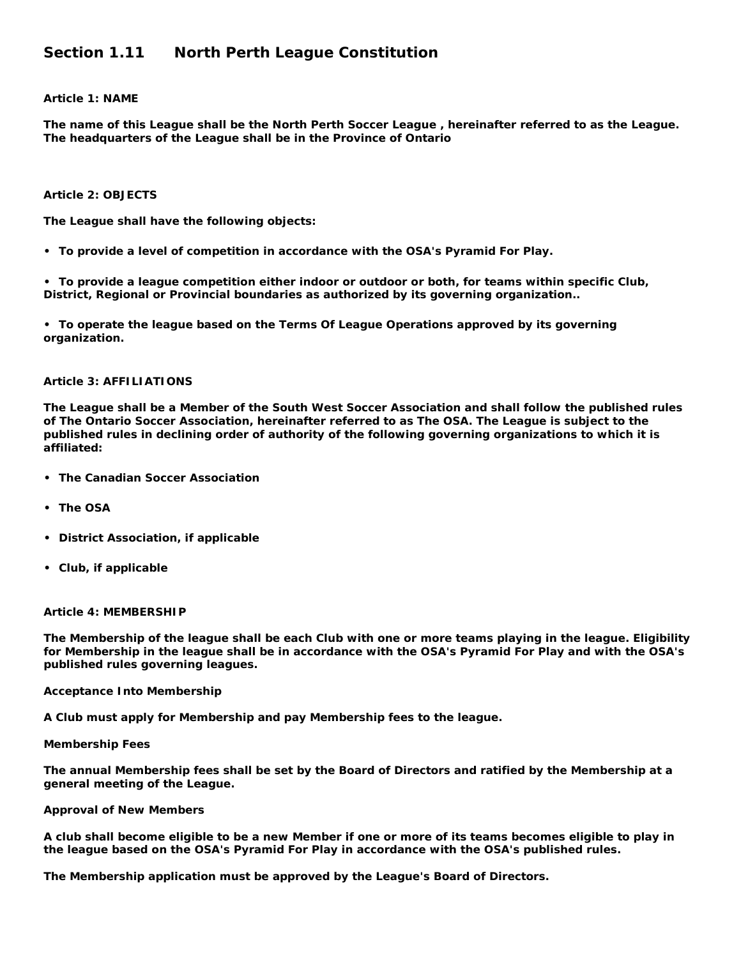# **Section 1.11 North Perth League Constitution**

# **Article 1: NAME**

**The name of this League shall be the North Perth Soccer League , hereinafter referred to as the League. The headquarters of the League shall be in the Province of Ontario** 

#### **Article 2: OBJECTS**

**The League shall have the following objects:** 

**• To provide a level of competition in accordance with the OSA's Pyramid For Play.** 

**• To provide a league competition either indoor or outdoor or both, for teams within specific Club, District, Regional or Provincial boundaries as authorized by its governing organization..** 

**• To operate the league based on the Terms Of League Operations approved by its governing organization.** 

# **Article 3: AFFILIATIONS**

**The League shall be a Member of the South West Soccer Association and shall follow the published rules of The Ontario Soccer Association, hereinafter referred to as The OSA. The League is subject to the published rules in declining order of authority of the following governing organizations to which it is affiliated:** 

- **• The Canadian Soccer Association**
- **• The OSA**
- **• District Association, if applicable**
- **• Club, if applicable**

#### **Article 4: MEMBERSHIP**

**The Membership of the league shall be each Club with one or more teams playing in the league. Eligibility for Membership in the league shall be in accordance with the OSA's Pyramid For Play and with the OSA's published rules governing leagues.** 

#### **Acceptance Into Membership**

**A Club must apply for Membership and pay Membership fees to the league.** 

#### **Membership Fees**

**The annual Membership fees shall be set by the Board of Directors and ratified by the Membership at a general meeting of the League.** 

#### **Approval of New Members**

**A club shall become eligible to be a new Member if one or more of its teams becomes eligible to play in the league based on the OSA's Pyramid For Play in accordance with the OSA's published rules.** 

**The Membership application must be approved by the League's Board of Directors.**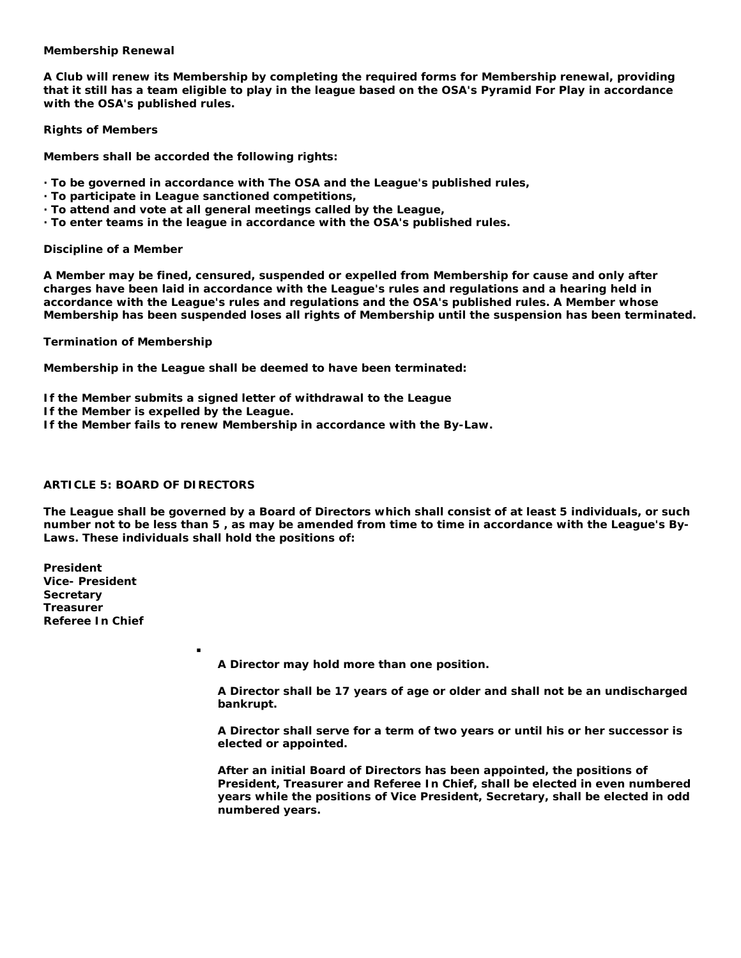## **Membership Renewal**

**A Club will renew its Membership by completing the required forms for Membership renewal, providing that it still has a team eligible to play in the league based on the OSA's Pyramid For Play in accordance with the OSA's published rules.** 

**Rights of Members** 

**Members shall be accorded the following rights:** 

- **· To be governed in accordance with The OSA and the League's published rules,**
- **· To participate in League sanctioned competitions,**
- **· To attend and vote at all general meetings called by the League,**
- **· To enter teams in the league in accordance with the OSA's published rules.**

#### **Discipline of a Member**

**A Member may be fined, censured, suspended or expelled from Membership for cause and only after charges have been laid in accordance with the League's rules and regulations and a hearing held in accordance with the League's rules and regulations and the OSA's published rules. A Member whose Membership has been suspended loses all rights of Membership until the suspension has been terminated.** 

**Termination of Membership** 

**Membership in the League shall be deemed to have been terminated:** 

- **If the Member submits a signed letter of withdrawal to the League**
- **If the Member is expelled by the League.**

:

**If the Member fails to renew Membership in accordance with the By-Law.** 

#### **ARTICLE 5: BOARD OF DIRECTORS**

**The League shall be governed by a Board of Directors which shall consist of at least 5 individuals, or such number not to be less than 5 , as may be amended from time to time in accordance with the League's By-Laws. These individuals shall hold the positions of:** 

**President Vice- President Secretary Treasurer Referee In Chief** 

**A Director may hold more than one position.** 

**A Director shall be 17 years of age or older and shall not be an undischarged bankrupt.** 

**A Director shall serve for a term of two years or until his or her successor is elected or appointed.** 

**After an initial Board of Directors has been appointed, the positions of President, Treasurer and Referee In Chief, shall be elected in even numbered years while the positions of Vice President, Secretary, shall be elected in odd numbered years.**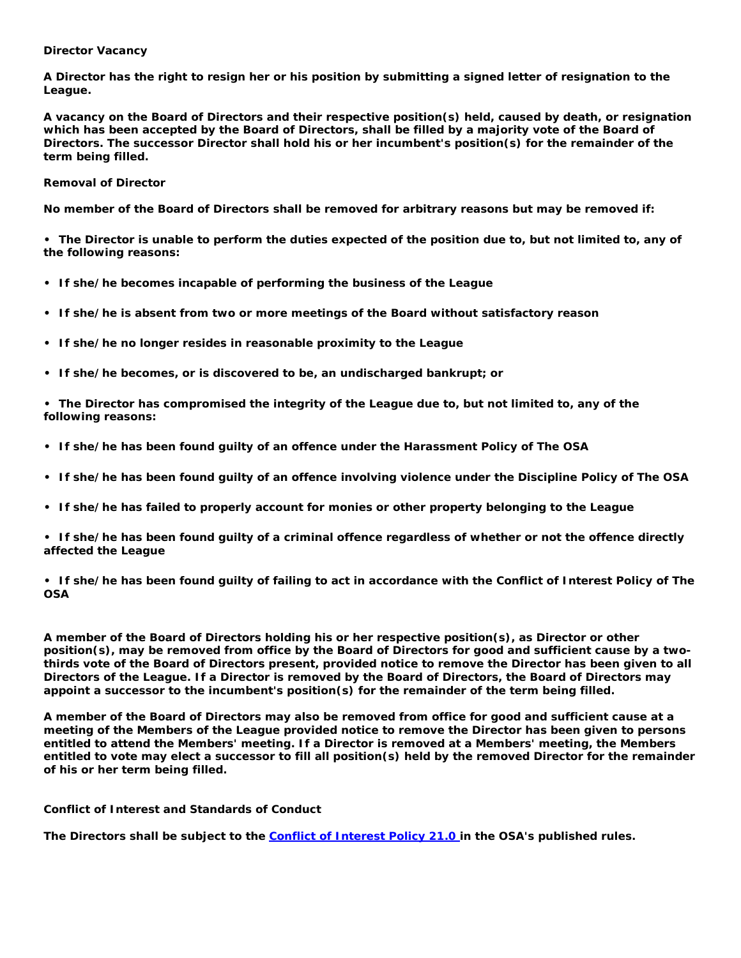# **Director Vacancy**

**A Director has the right to resign her or his position by submitting a signed letter of resignation to the League.** 

**A vacancy on the Board of Directors and their respective position(s) held, caused by death, or resignation which has been accepted by the Board of Directors, shall be filled by a majority vote of the Board of Directors. The successor Director shall hold his or her incumbent's position(s) for the remainder of the term being filled.** 

**Removal of Director** 

**No member of the Board of Directors shall be removed for arbitrary reasons but may be removed if:** 

**• The Director is unable to perform the duties expected of the position due to, but not limited to, any of the following reasons:** 

- **• If she/he becomes incapable of performing the business of the League**
- **• If she/he is absent from two or more meetings of the Board without satisfactory reason**
- **• If she/he no longer resides in reasonable proximity to the League**
- **• If she/he becomes, or is discovered to be, an undischarged bankrupt; or**
- **• The Director has compromised the integrity of the League due to, but not limited to, any of the following reasons:**
- **• If she/he has been found guilty of an offence under the Harassment Policy of The OSA**
- **• If she/he has been found guilty of an offence involving violence under the Discipline Policy of The OSA**
- **• If she/he has failed to properly account for monies or other property belonging to the League**

**• If she/he has been found guilty of a criminal offence regardless of whether or not the offence directly affected the League** 

**• If she/he has been found guilty of failing to act in accordance with the Conflict of Interest Policy of The OSA** 

**A member of the Board of Directors holding his or her respective position(s), as Director or other position(s), may be removed from office by the Board of Directors for good and sufficient cause by a twothirds vote of the Board of Directors present, provided notice to remove the Director has been given to all Directors of the League. If a Director is removed by the Board of Directors, the Board of Directors may appoint a successor to the incumbent's position(s) for the remainder of the term being filled.** 

**A member of the Board of Directors may also be removed from office for good and sufficient cause at a meeting of the Members of the League provided notice to remove the Director has been given to persons entitled to attend the Members' meeting. If a Director is removed at a Members' meeting, the Members entitled to vote may elect a successor to fill all position(s) held by the removed Director for the remainder of his or her term being filled.** 

**Conflict of Interest and Standards of Conduct** 

**The Directors shall be subject to the** *[Conflict of Interest Policy 21.0](http://www.soccer.on.ca/Publications/mam.nsf/71526f2c5ac3fee085256a8e00521dda/c40b31905f8fcb2e8525707e006cea75?OpenDocument)* **in the OSA's published rules.**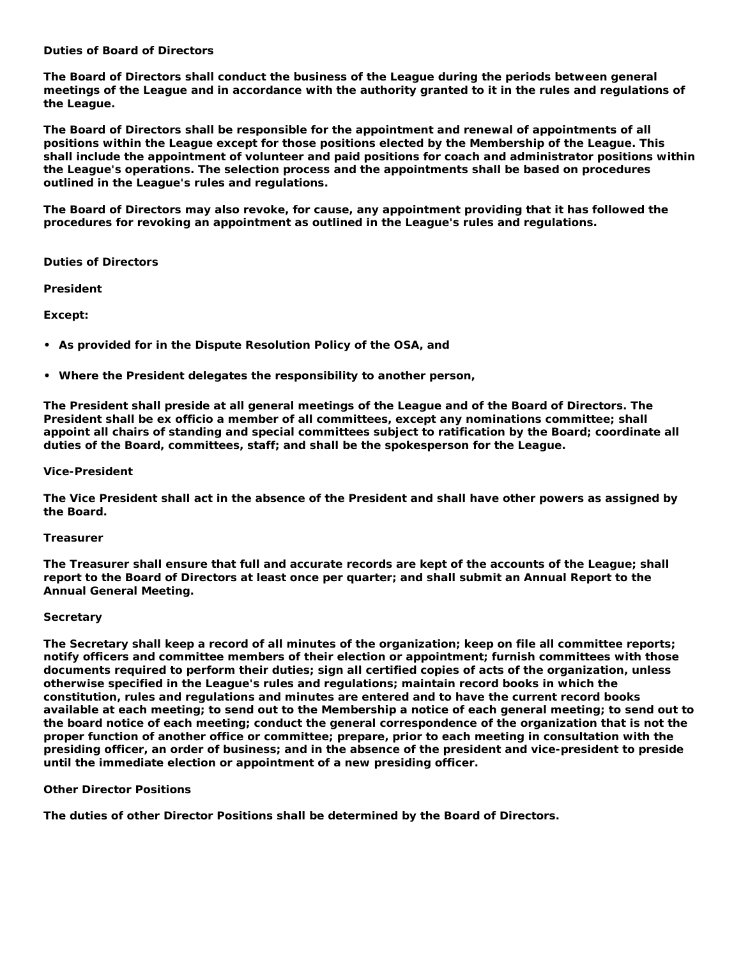# **Duties of Board of Directors**

**The Board of Directors shall conduct the business of the League during the periods between general meetings of the League and in accordance with the authority granted to it in the rules and regulations of the League.** 

**The Board of Directors shall be responsible for the appointment and renewal of appointments of all positions within the League except for those positions elected by the Membership of the League. This shall include the appointment of volunteer and paid positions for coach and administrator positions within the League's operations. The selection process and the appointments shall be based on procedures outlined in the League's rules and regulations.** 

**The Board of Directors may also revoke, for cause, any appointment providing that it has followed the procedures for revoking an appointment as outlined in the League's rules and regulations.** 

# **Duties of Directors**

*President* 

**Except:** 

- **• As provided for in the Dispute Resolution Policy of the OSA, and**
- **• Where the President delegates the responsibility to another person,**

**The President shall preside at all general meetings of the League and of the Board of Directors. The President shall be ex officio a member of all committees, except any nominations committee; shall appoint all chairs of standing and special committees subject to ratification by the Board; coordinate all duties of the Board, committees, staff; and shall be the spokesperson for the League.** 

## *Vice-President*

**The Vice President shall act in the absence of the President and shall have other powers as assigned by the Board.** 

# *Treasurer*

**The Treasurer shall ensure that full and accurate records are kept of the accounts of the League; shall report to the Board of Directors at least once per quarter; and shall submit an Annual Report to the Annual General Meeting.** 

## *Secretary*

**The Secretary shall keep a record of all minutes of the organization; keep on file all committee reports; notify officers and committee members of their election or appointment; furnish committees with those documents required to perform their duties; sign all certified copies of acts of the organization, unless otherwise specified in the League's rules and regulations; maintain record books in which the constitution, rules and regulations and minutes are entered and to have the current record books available at each meeting; to send out to the Membership a notice of each general meeting; to send out to the board notice of each meeting; conduct the general correspondence of the organization that is not the proper function of another office or committee; prepare, prior to each meeting in consultation with the presiding officer, an order of business; and in the absence of the president and vice-president to preside until the immediate election or appointment of a new presiding officer.** 

# *Other Director Positions*

**The duties of other Director Positions shall be determined by the Board of Directors.**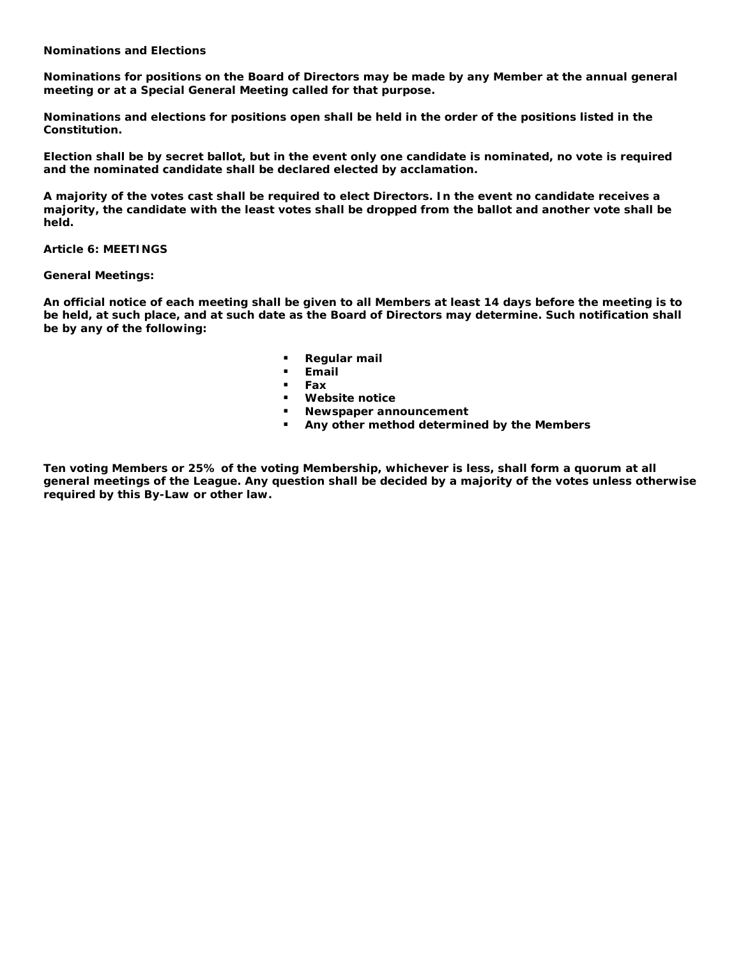# **Nominations and Elections**

**Nominations for positions on the Board of Directors may be made by any Member at the annual general meeting or at a Special General Meeting called for that purpose.** 

**Nominations and elections for positions open shall be held in the order of the positions listed in the Constitution.** 

**Election shall be by secret ballot, but in the event only one candidate is nominated, no vote is required and the nominated candidate shall be declared elected by acclamation.** 

**A majority of the votes cast shall be required to elect Directors. In the event no candidate receives a majority, the candidate with the least votes shall be dropped from the ballot and another vote shall be held.** 

**Article 6: MEETINGS** 

## **General Meetings:**

**An official notice of each meeting shall be given to all Members at least 14 days before the meeting is to be held, at such place, and at such date as the Board of Directors may determine. Such notification shall be by any of the following:** 

- **Regular mail**
- **Email**
- **Fax**
- **Website notice**
- **Newspaper announcement**
- **Any other method determined by the Members**

**Ten voting Members or 25% of the voting Membership, whichever is less, shall form a quorum at all general meetings of the League. Any question shall be decided by a majority of the votes unless otherwise required by this By-Law or other law.**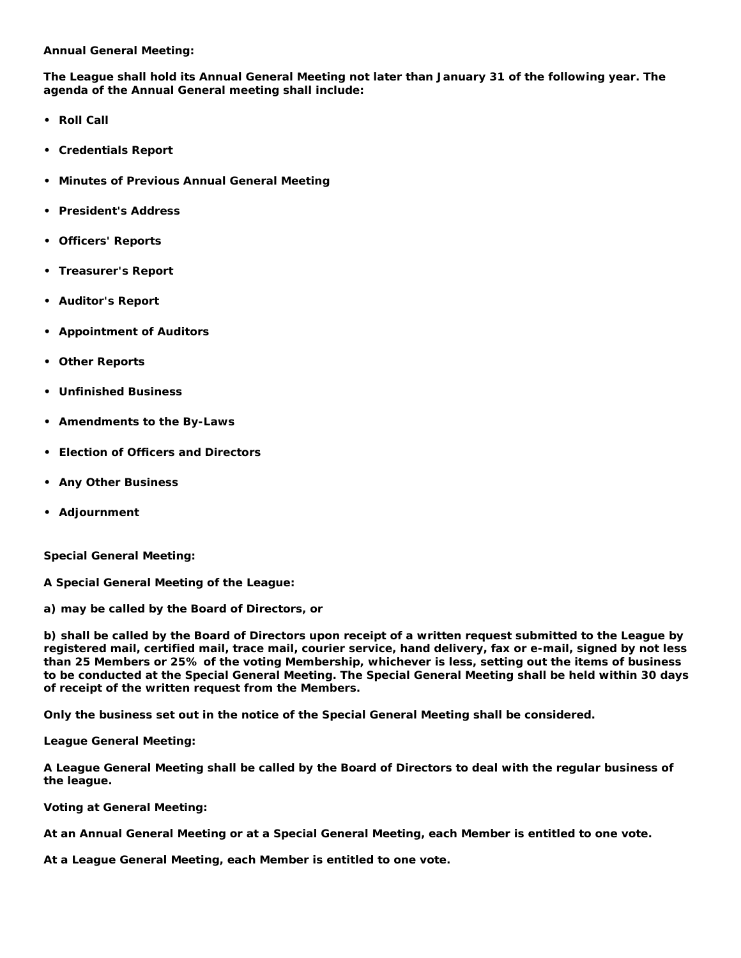# **Annual General Meeting:**

**The League shall hold its Annual General Meeting not later than January 31 of the following year. The agenda of the Annual General meeting shall include:** 

- **• Roll Call**
- **• Credentials Report**
- **• Minutes of Previous Annual General Meeting**
- **• President's Address**
- **• Officers' Reports**
- **• Treasurer's Report**
- **• Auditor's Report**
- **• Appointment of Auditors**
- **• Other Reports**
- **• Unfinished Business**
- **• Amendments to the By-Laws**
- **• Election of Officers and Directors**
- **• Any Other Business**
- **• Adjournment**

**Special General Meeting:** 

**A Special General Meeting of the League:** 

**a) may be called by the Board of Directors, or** 

**b) shall be called by the Board of Directors upon receipt of a written request submitted to the League by registered mail, certified mail, trace mail, courier service, hand delivery, fax or e-mail, signed by not less than 25 Members or 25% of the voting Membership, whichever is less, setting out the items of business to be conducted at the Special General Meeting. The Special General Meeting shall be held within 30 days of receipt of the written request from the Members.** 

**Only the business set out in the notice of the Special General Meeting shall be considered.** 

**League General Meeting:** 

**A League General Meeting shall be called by the Board of Directors to deal with the regular business of the league.** 

**Voting at General Meeting:** 

**At an Annual General Meeting or at a Special General Meeting, each Member is entitled to one vote.** 

**At a League General Meeting, each Member is entitled to one vote.**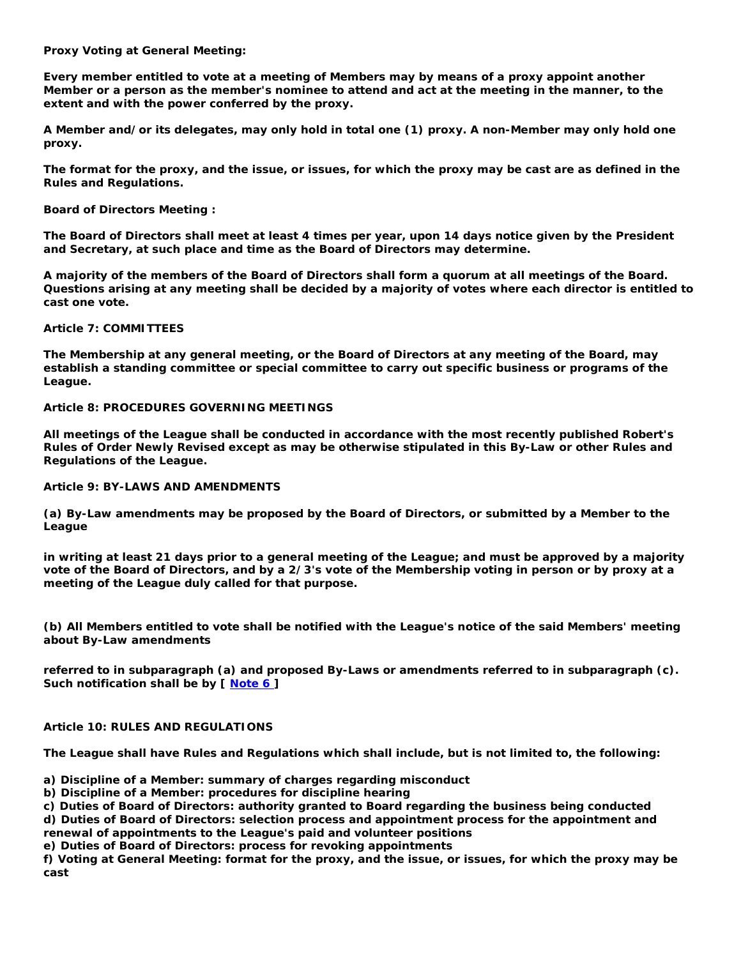# **Proxy Voting at General Meeting:**

**Every member entitled to vote at a meeting of Members may by means of a proxy appoint another Member or a person as the member's nominee to attend and act at the meeting in the manner, to the extent and with the power conferred by the proxy.** 

**A Member and/or its delegates, may only hold in total one (1) proxy. A non-Member may only hold one proxy.** 

**The format for the proxy, and the issue, or issues, for which the proxy may be cast are as defined in the Rules and Regulations.** 

**Board of Directors Meeting :** 

**The Board of Directors shall meet at least 4 times per year, upon 14 days notice given by the President and Secretary, at such place and time as the Board of Directors may determine.** 

**A majority of the members of the Board of Directors shall form a quorum at all meetings of the Board. Questions arising at any meeting shall be decided by a majority of votes where each director is entitled to cast one vote.** 

**Article 7: COMMITTEES** 

**The Membership at any general meeting, or the Board of Directors at any meeting of the Board, may establish a standing committee or special committee to carry out specific business or programs of the League.** 

# **Article 8: PROCEDURES GOVERNING MEETINGS**

**All meetings of the League shall be conducted in accordance with the most recently published Robert's Rules of Order Newly Revised except as may be otherwise stipulated in this By-Law or other Rules and Regulations of the League.** 

# **Article 9: BY-LAWS AND AMENDMENTS**

**(a) By-Law amendments may be proposed by the Board of Directors, or submitted by a Member to the League** 

**in writing at least 21 days prior to a general meeting of the League; and must be approved by a majority vote of the Board of Directors, and by a 2/3's vote of the Membership voting in person or by proxy at a meeting of the League duly called for that purpose.** 

**(b) All Members entitled to vote shall be notified with the League's notice of the said Members' meeting about By-Law amendments** 

**referred to in subparagraph (a) and proposed By-Laws or amendments referred to in subparagraph (c). Such notification shall be by [ [Note 6 \]](http://www.soccer.on.ca/Committee/BoardMeeting.nsf/a9af359a61231e2d8525674600573545/c73999850383f89285256d9d0007861e?OpenDocument#%5BNote%207%3A%20insert%20any%20of%20the%20foll)** 

## **Article 10: RULES AND REGULATIONS**

**The League shall have Rules and Regulations which shall include, but is not limited to, the following:** 

**a) Discipline of a Member: summary of charges regarding misconduct** 

**b) Discipline of a Member: procedures for discipline hearing** 

**c) Duties of Board of Directors: authority granted to Board regarding the business being conducted d) Duties of Board of Directors: selection process and appointment process for the appointment and** 

**renewal of appointments to the League's paid and volunteer positions** 

**e) Duties of Board of Directors: process for revoking appointments** 

**f) Voting at General Meeting: format for the proxy, and the issue, or issues, for which the proxy may be cast**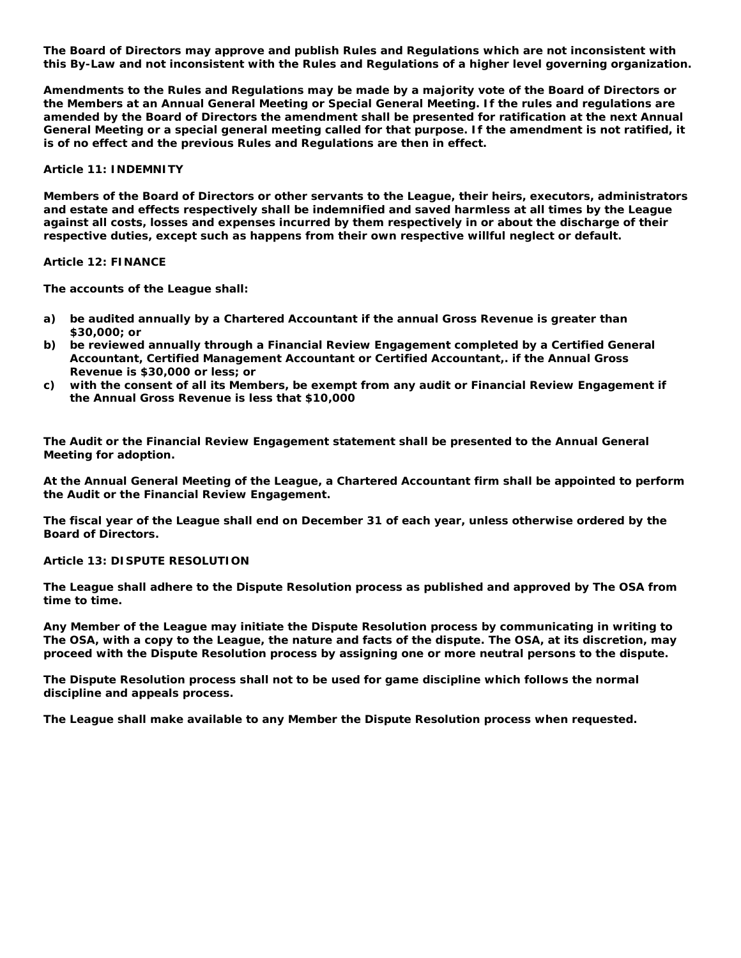**The Board of Directors may approve and publish Rules and Regulations which are not inconsistent with this By-Law and not inconsistent with the Rules and Regulations of a higher level governing organization.** 

**Amendments to the Rules and Regulations may be made by a majority vote of the Board of Directors or the Members at an Annual General Meeting or Special General Meeting. If the rules and regulations are amended by the Board of Directors the amendment shall be presented for ratification at the next Annual General Meeting or a special general meeting called for that purpose. If the amendment is not ratified, it is of no effect and the previous Rules and Regulations are then in effect.** 

**Article 11: INDEMNITY** 

**Members of the Board of Directors or other servants to the League, their heirs, executors, administrators and estate and effects respectively shall be indemnified and saved harmless at all times by the League against all costs, losses and expenses incurred by them respectively in or about the discharge of their respective duties, except such as happens from their own respective willful neglect or default.** 

**Article 12: FINANCE** 

**The accounts of the League shall:** 

- **a) be audited annually by a Chartered Accountant if the annual Gross Revenue is greater than \$30,000; or**
- **b) be reviewed annually through a Financial Review Engagement completed by a Certified General Accountant, Certified Management Accountant or Certified Accountant,. if the Annual Gross Revenue is \$30,000 or less; or**
- **c) with the consent of all its Members, be exempt from any audit or Financial Review Engagement if the Annual Gross Revenue is less that \$10,000**

**The Audit or the Financial Review Engagement statement shall be presented to the Annual General Meeting for adoption.** 

**At the Annual General Meeting of the League, a Chartered Accountant firm shall be appointed to perform the Audit or the Financial Review Engagement.** 

**The fiscal year of the League shall end on December 31 of each year, unless otherwise ordered by the Board of Directors.** 

**Article 13: DISPUTE RESOLUTION** 

**The League shall adhere to the Dispute Resolution process as published and approved by The OSA from time to time.** 

**Any Member of the League may initiate the Dispute Resolution process by communicating in writing to The OSA, with a copy to the League, the nature and facts of the dispute. The OSA, at its discretion, may proceed with the Dispute Resolution process by assigning one or more neutral persons to the dispute.** 

**The Dispute Resolution process shall not to be used for game discipline which follows the normal discipline and appeals process.** 

**The League shall make available to any Member the Dispute Resolution process when requested.**